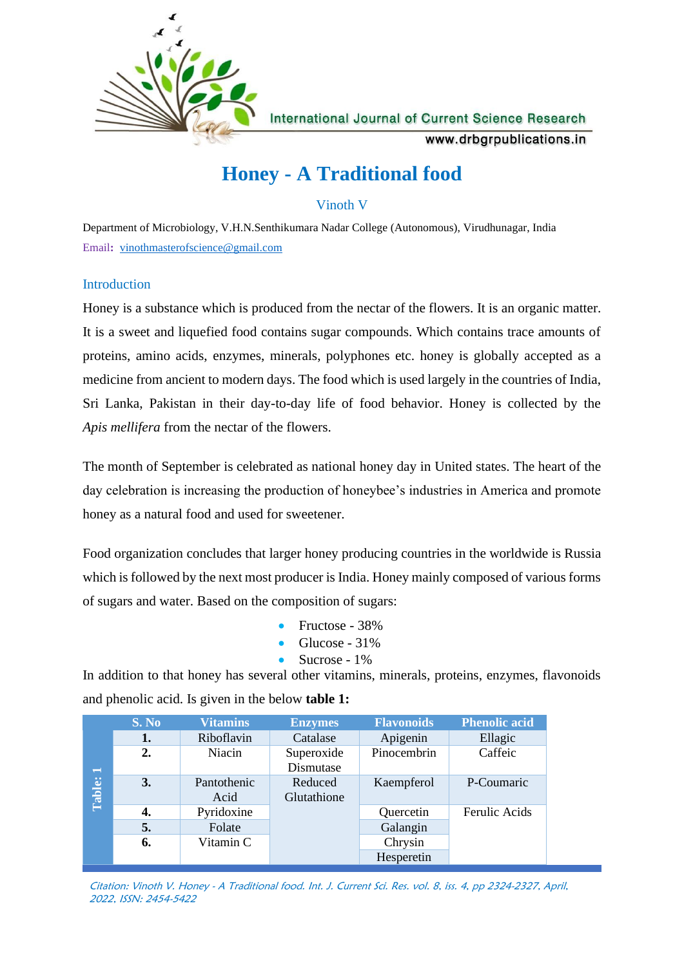

**International Journal of Current Science Research** 

www.drbgrpublications.in

# **Honey - A Traditional food**

Vinoth V

Department of Microbiology, V.H.N.Senthikumara Nadar College (Autonomous), Virudhunagar, India Email**:** [vinothmasterofscience@gmail.com](mailto:vinothmasterofscience@gmail.com)

# **Introduction**

Honey is a substance which is produced from the nectar of the flowers. It is an organic matter. It is a sweet and liquefied food contains sugar compounds. Which contains trace amounts of proteins, amino acids, enzymes, minerals, polyphones etc. honey is globally accepted as a medicine from ancient to modern days. The food which is used largely in the countries of India, Sri Lanka, Pakistan in their day-to-day life of food behavior. Honey is collected by the *Apis mellifera* from the nectar of the flowers.

The month of September is celebrated as national honey day in United states. The heart of the day celebration is increasing the production of honeybee's industries in America and promote honey as a natural food and used for sweetener.

Food organization concludes that larger honey producing countries in the worldwide is Russia which is followed by the next most producer is India. Honey mainly composed of various forms of sugars and water. Based on the composition of sugars:

- Fructose 38%
- Glucose 31%
- Sucrose 1%

In addition to that honey has several other vitamins, minerals, proteins, enzymes, flavonoids and phenolic acid. Is given in the below **table 1:**

|                          | S. No | <b>Vitamins</b>     | <b>Enzymes</b>          | <b>Flavonoids</b> | <b>Phenolic acid</b> |
|--------------------------|-------|---------------------|-------------------------|-------------------|----------------------|
|                          | 1.    | Riboflavin          | Catalase                | Apigenin          | Ellagic              |
| $\overline{\phantom{0}}$ | 2.    | Niacin              | Superoxide<br>Dismutase | Pinocembrin       | Caffeic              |
| Table:                   | 3.    | Pantothenic<br>Acid | Reduced<br>Glutathione  | Kaempferol        | P-Coumaric           |
|                          | 4.    | Pyridoxine          |                         | Quercetin         | Ferulic Acids        |
|                          | 5.    | Folate              |                         | Galangin          |                      |
|                          | 6.    | Vitamin C           |                         | Chrysin           |                      |
|                          |       |                     |                         | Hesperetin        |                      |

Citation: Vinoth V. Honey - A Traditional food. Int. J. Current Sci. Res. vol. 8, iss. 4, pp 2324-2327, April, 2022, ISSN: 2454-5422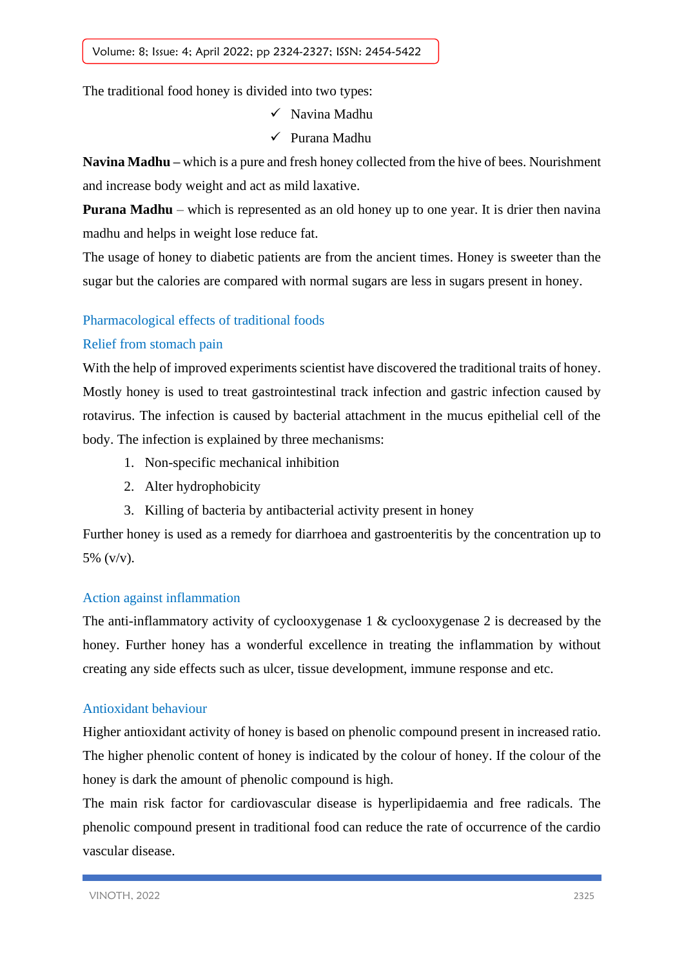The traditional food honey is divided into two types:

- ✓ Navina Madhu
- ✓ Purana Madhu

**Navina Madhu –** which is a pure and fresh honey collected from the hive of bees. Nourishment and increase body weight and act as mild laxative.

**Purana Madhu** – which is represented as an old honey up to one year. It is drier then navina madhu and helps in weight lose reduce fat.

The usage of honey to diabetic patients are from the ancient times. Honey is sweeter than the sugar but the calories are compared with normal sugars are less in sugars present in honey.

# Pharmacological effects of traditional foods

# Relief from stomach pain

With the help of improved experiments scientist have discovered the traditional traits of honey. Mostly honey is used to treat gastrointestinal track infection and gastric infection caused by rotavirus. The infection is caused by bacterial attachment in the mucus epithelial cell of the body. The infection is explained by three mechanisms:

- 1. Non-specific mechanical inhibition
- 2. Alter hydrophobicity
- 3. Killing of bacteria by antibacterial activity present in honey

Further honey is used as a remedy for diarrhoea and gastroenteritis by the concentration up to 5% (v/v).

#### Action against inflammation

The anti-inflammatory activity of cyclooxygenase 1 & cyclooxygenase 2 is decreased by the honey. Further honey has a wonderful excellence in treating the inflammation by without creating any side effects such as ulcer, tissue development, immune response and etc.

#### Antioxidant behaviour

Higher antioxidant activity of honey is based on phenolic compound present in increased ratio. The higher phenolic content of honey is indicated by the colour of honey. If the colour of the honey is dark the amount of phenolic compound is high.

The main risk factor for cardiovascular disease is hyperlipidaemia and free radicals. The phenolic compound present in traditional food can reduce the rate of occurrence of the cardio vascular disease.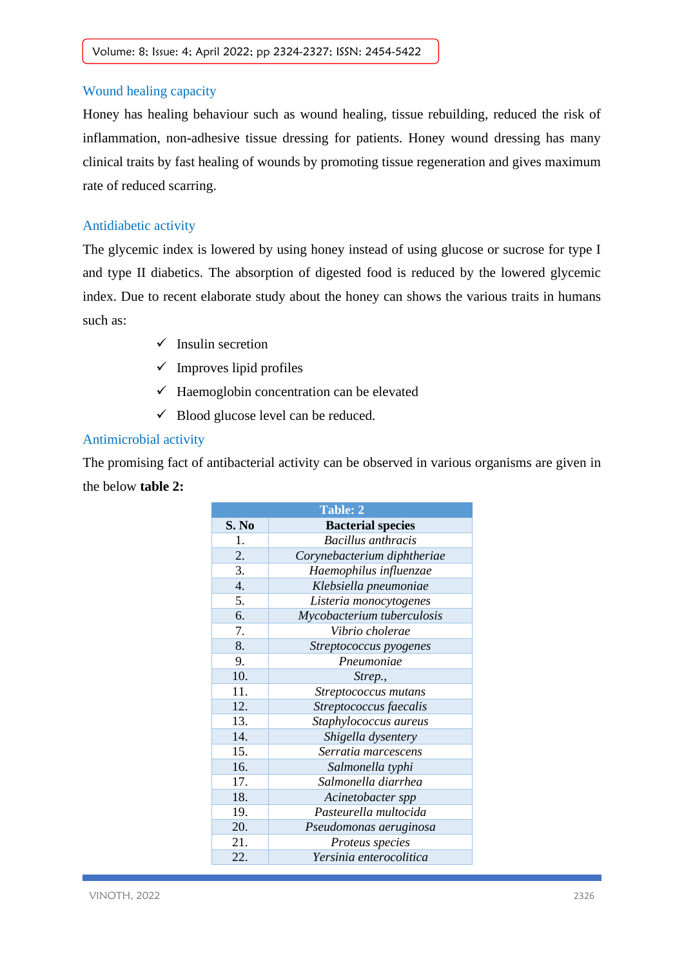#### Wound healing capacity

Honey has healing behaviour such as wound healing, tissue rebuilding, reduced the risk of inflammation, non-adhesive tissue dressing for patients. Honey wound dressing has many clinical traits by fast healing of wounds by promoting tissue regeneration and gives maximum rate of reduced scarring.

#### Antidiabetic activity

The glycemic index is lowered by using honey instead of using glucose or sucrose for type I and type II diabetics. The absorption of digested food is reduced by the lowered glycemic index. Due to recent elaborate study about the honey can shows the various traits in humans such as:

- $\checkmark$  Insulin secretion
- $\checkmark$  Improves lipid profiles
- $\checkmark$  Haemoglobin concentration can be elevated
- $\checkmark$  Blood glucose level can be reduced.

#### Antimicrobial activity

The promising fact of antibacterial activity can be observed in various organisms are given in the below **table 2:**

| <b>Table: 2</b> |                             |  |  |  |
|-----------------|-----------------------------|--|--|--|
| S. No           | <b>Bacterial species</b>    |  |  |  |
| 1.              | <b>Bacillus</b> anthracis   |  |  |  |
| 2.              | Corynebacterium diphtheriae |  |  |  |
| 3.              | Haemophilus influenzae      |  |  |  |
| 4.              | Klebsiella pneumoniae       |  |  |  |
| 5.              | Listeria monocytogenes      |  |  |  |
| 6.              | Mycobacterium tuberculosis  |  |  |  |
| 7.              | Vibrio cholerae             |  |  |  |
| 8.              | Streptococcus pyogenes      |  |  |  |
| 9.              | Pneumoniae                  |  |  |  |
| 10.             | Strep.,                     |  |  |  |
| 11.             | Streptococcus mutans        |  |  |  |
| 12.             | Streptococcus faecalis      |  |  |  |
| 13.             | Staphylococcus aureus       |  |  |  |
| 14.             | Shigella dysentery          |  |  |  |
| 15.             | Serratia marcescens         |  |  |  |
| 16.             | Salmonella typhi            |  |  |  |
| 17.             | Salmonella diarrhea         |  |  |  |
| 18.             | Acinetobacter spp           |  |  |  |
| 19.             | Pasteurella multocida       |  |  |  |
| 20.             | Pseudomonas aeruginosa      |  |  |  |
| 21.             | Proteus species             |  |  |  |
| 22.             | Yersinia enterocolitica     |  |  |  |